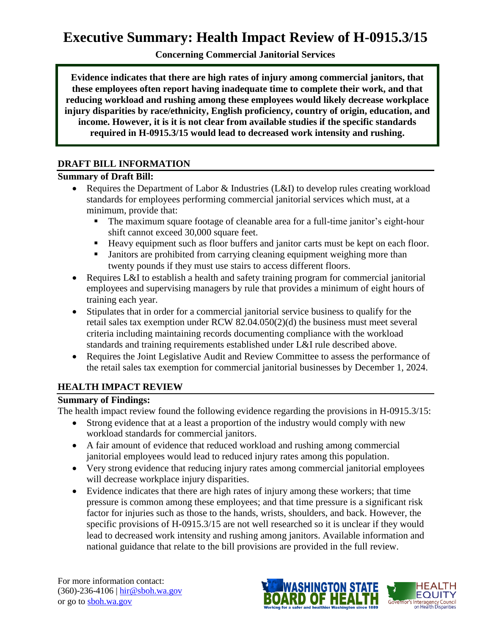**Concerning Commercial Janitorial Services**

**Evidence indicates that there are high rates of injury among commercial janitors, that these employees often report having inadequate time to complete their work, and that reducing workload and rushing among these employees would likely decrease workplace injury disparities by race/ethnicity, English proficiency, country of origin, education, and income. However, it is it is not clear from available studies if the specific standards required in H-0915.3/15 would lead to decreased work intensity and rushing.**

## **DRAFT BILL INFORMATION**

## **Summary of Draft Bill:**

- Requires the Department of Labor & Industries (L&I) to develop rules creating workload standards for employees performing commercial janitorial services which must, at a minimum, provide that:
	- The maximum square footage of cleanable area for a full-time janitor's eight-hour shift cannot exceed 30,000 square feet.
	- Heavy equipment such as floor buffers and janitor carts must be kept on each floor.
	- **I** Janitors are prohibited from carrying cleaning equipment weighing more than twenty pounds if they must use stairs to access different floors.
- Requires L&I to establish a health and safety training program for commercial janitorial employees and supervising managers by rule that provides a minimum of eight hours of training each year.
- Stipulates that in order for a commercial janitorial service business to qualify for the retail sales tax exemption under RCW 82.04.050(2)(d) the business must meet several criteria including maintaining records documenting compliance with the workload standards and training requirements established under L&I rule described above.
- Requires the Joint Legislative Audit and Review Committee to assess the performance of the retail sales tax exemption for commercial janitorial businesses by December 1, 2024.

## **HEALTH IMPACT REVIEW**

## **Summary of Findings:**

The health impact review found the following evidence regarding the provisions in H-0915.3/15:

- Strong evidence that at a least a proportion of the industry would comply with new workload standards for commercial janitors.
- A fair amount of evidence that reduced workload and rushing among commercial janitorial employees would lead to reduced injury rates among this population.
- Very strong evidence that reducing injury rates among commercial janitorial employees will decrease workplace injury disparities.
- Evidence indicates that there are high rates of injury among these workers; that time pressure is common among these employees; and that time pressure is a significant risk factor for injuries such as those to the hands, wrists, shoulders, and back. However, the specific provisions of H-0915.3/15 are not well researched so it is unclear if they would lead to decreased work intensity and rushing among janitors. Available information and national guidance that relate to the bill provisions are provided in the full review.

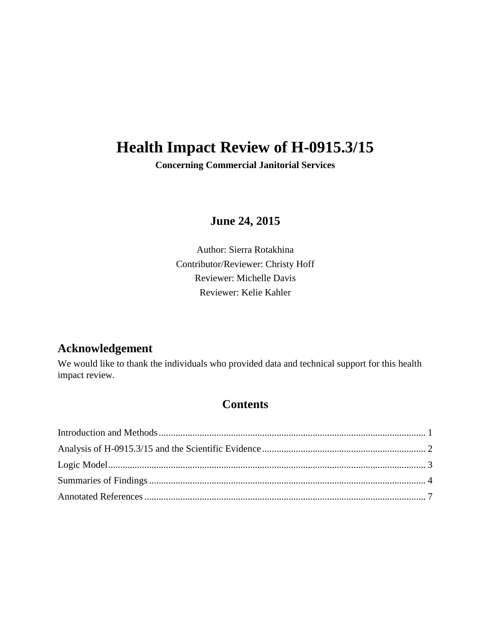# **Health Impact Review of H-0915.3/15**

**Concerning Commercial Janitorial Services**

**June 24, 2015**

Author: Sierra Rotakhina Contributor/Reviewer: Christy Hoff Reviewer: Michelle Davis Reviewer: Kelie Kahler

## **Acknowledgement**

We would like to thank the individuals who provided data and technical support for this health impact review.

## **Contents**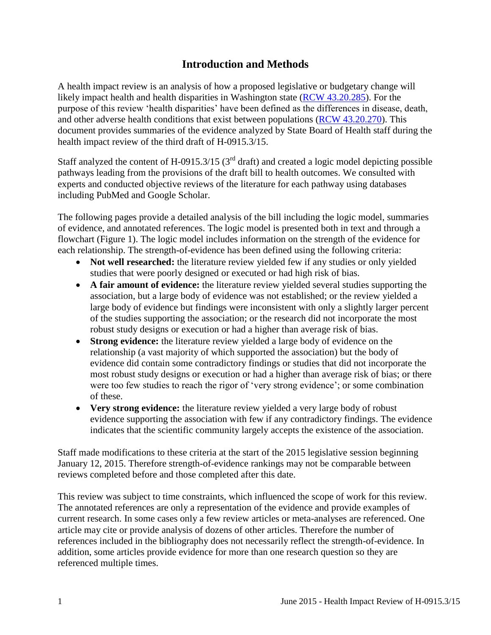## **Introduction and Methods**

<span id="page-2-0"></span>A health impact review is an analysis of how a proposed legislative or budgetary change will likely impact health and health disparities in Washington state [\(RCW 43.20.285\)](http://apps.leg.wa.gov/rcw/default.aspx?cite=43.20.285). For the purpose of this review 'health disparities' have been defined as the differences in disease, death, and other adverse health conditions that exist between populations [\(RCW 43.20.270\)](http://apps.leg.wa.gov/rcw/default.aspx?cite=43.20.270). This document provides summaries of the evidence analyzed by State Board of Health staff during the health impact review of the third draft of H-0915.3/15.

Staff analyzed the content of H-0915.3/15 ( $3<sup>rd</sup>$  draft) and created a logic model depicting possible pathways leading from the provisions of the draft bill to health outcomes. We consulted with experts and conducted objective reviews of the literature for each pathway using databases including PubMed and Google Scholar.

The following pages provide a detailed analysis of the bill including the logic model, summaries of evidence, and annotated references. The logic model is presented both in text and through a flowchart (Figure 1). The logic model includes information on the strength of the evidence for each relationship. The strength-of-evidence has been defined using the following criteria:

- Not well researched: the literature review yielded few if any studies or only yielded studies that were poorly designed or executed or had high risk of bias.
- **A fair amount of evidence:** the literature review yielded several studies supporting the association, but a large body of evidence was not established; or the review yielded a large body of evidence but findings were inconsistent with only a slightly larger percent of the studies supporting the association; or the research did not incorporate the most robust study designs or execution or had a higher than average risk of bias.
- **Strong evidence:** the literature review yielded a large body of evidence on the relationship (a vast majority of which supported the association) but the body of evidence did contain some contradictory findings or studies that did not incorporate the most robust study designs or execution or had a higher than average risk of bias; or there were too few studies to reach the rigor of 'very strong evidence'; or some combination of these.
- **Very strong evidence:** the literature review yielded a very large body of robust evidence supporting the association with few if any contradictory findings. The evidence indicates that the scientific community largely accepts the existence of the association.

Staff made modifications to these criteria at the start of the 2015 legislative session beginning January 12, 2015. Therefore strength-of-evidence rankings may not be comparable between reviews completed before and those completed after this date.

This review was subject to time constraints, which influenced the scope of work for this review. The annotated references are only a representation of the evidence and provide examples of current research. In some cases only a few review articles or meta-analyses are referenced. One article may cite or provide analysis of dozens of other articles. Therefore the number of references included in the bibliography does not necessarily reflect the strength-of-evidence. In addition, some articles provide evidence for more than one research question so they are referenced multiple times.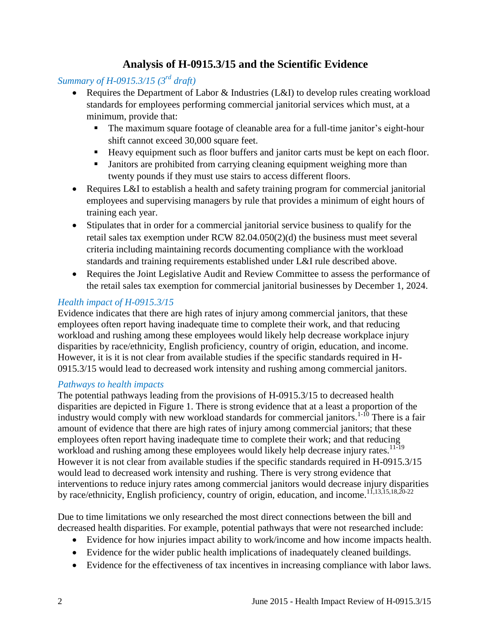## **Analysis of H-0915.3/15 and the Scientific Evidence**

## <span id="page-3-0"></span>*Summary of H-0915.3/15 (3rd draft)*

- Requires the Department of Labor & Industries (L&I) to develop rules creating workload standards for employees performing commercial janitorial services which must, at a minimum, provide that:
	- The maximum square footage of cleanable area for a full-time janitor's eight-hour shift cannot exceed 30,000 square feet.
	- Heavy equipment such as floor buffers and janitor carts must be kept on each floor.
	- Janitors are prohibited from carrying cleaning equipment weighing more than twenty pounds if they must use stairs to access different floors.
- Requires L&I to establish a health and safety training program for commercial janitorial employees and supervising managers by rule that provides a minimum of eight hours of training each year.
- Stipulates that in order for a commercial janitorial service business to qualify for the retail sales tax exemption under RCW 82.04.050(2)(d) the business must meet several criteria including maintaining records documenting compliance with the workload standards and training requirements established under L&I rule described above.
- Requires the Joint Legislative Audit and Review Committee to assess the performance of the retail sales tax exemption for commercial janitorial businesses by December 1, 2024.

#### *Health impact of H-0915.3/15*

Evidence indicates that there are high rates of injury among commercial janitors, that these employees often report having inadequate time to complete their work, and that reducing workload and rushing among these employees would likely help decrease workplace injury disparities by race/ethnicity, English proficiency, country of origin, education, and income. However, it is it is not clear from available studies if the specific standards required in H-0915.3/15 would lead to decreased work intensity and rushing among commercial janitors.

#### *Pathways to health impacts*

The potential pathways leading from the provisions of H-0915.3/15 to decreased health disparities are depicted in Figure 1. There is strong evidence that at a least a proportion of the industry would comply with new workload standards for commercial janitors.<sup>[1-10](#page-8-1)</sup> There is a fair amount of evidence that there are high rates of injury among commercial janitors; that these employees often report having inadequate time to complete their work; and that reducing workload and rushing among these employees would likely help decrease injury rates.<sup>[11-19](#page-12-0)</sup> However it is not clear from available studies if the specific standards required in H-0915.3/15 would lead to decreased work intensity and rushing. There is very strong evidence that interventions to reduce injury rates among commercial janitors would decrease injury disparities by race/ethnicity, English proficiency, country of origin, education, and income.<sup>[11](#page-12-0)[,13](#page-12-1)[,15](#page-13-0)[,18](#page-15-0)[,20-22](#page-16-0)</sup>

Due to time limitations we only researched the most direct connections between the bill and decreased health disparities. For example, potential pathways that were not researched include:

- Evidence for how injuries impact ability to work/income and how income impacts health.
- Evidence for the wider public health implications of inadequately cleaned buildings.
- Evidence for the effectiveness of tax incentives in increasing compliance with labor laws.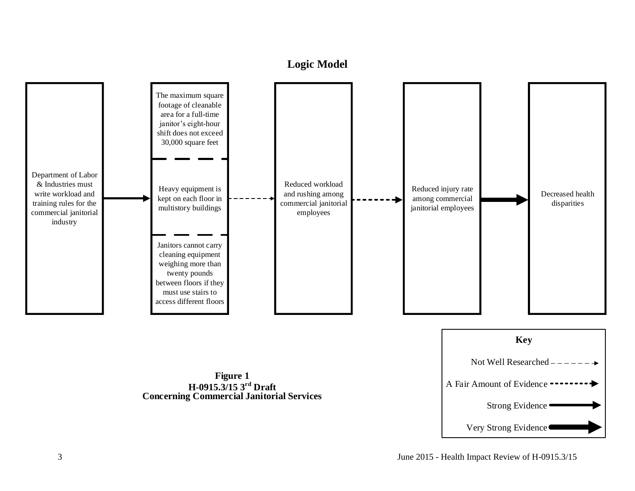## **Logic Model**

<span id="page-4-0"></span>



**Figure 1 H-0915.3/15 3r d Draft Concerning Commercial Janitorial Services**

3 June 2015 - Health Impact Review of H-0915.3/15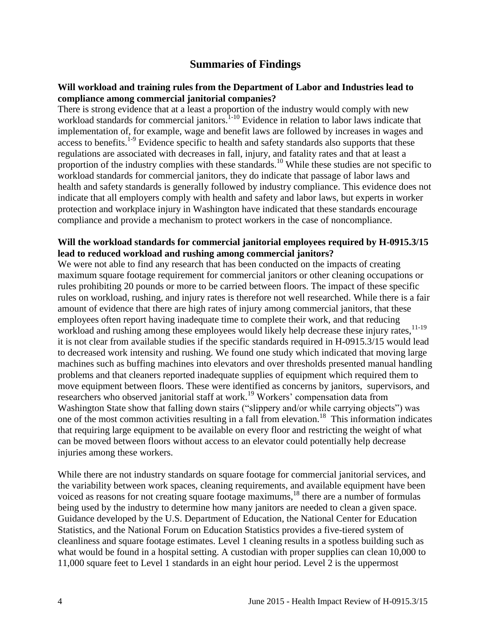## **Summaries of Findings**

#### <span id="page-5-0"></span>**Will workload and training rules from the Department of Labor and Industries lead to compliance among commercial janitorial companies?**

There is strong evidence that at a least a proportion of the industry would comply with new workload standards for commercial janitors.<sup>[1-10](#page-8-1)</sup> Evidence in relation to labor laws indicate that implementation of, for example, wage and benefit laws are followed by increases in wages and  $\frac{1}{2}$  access to benefits.<sup>1.9</sup> Evidence specific to health and safety standards also supports that these regulations are associated with decreases in fall, injury, and fatality rates and that at least a proportion of the industry complies with these standards.<sup>[10](#page-11-0)</sup> While these studies are not specific to workload standards for commercial janitors, they do indicate that passage of labor laws and health and safety standards is generally followed by industry compliance. This evidence does not indicate that all employers comply with health and safety and labor laws, but experts in worker protection and workplace injury in Washington have indicated that these standards encourage compliance and provide a mechanism to protect workers in the case of noncompliance.

#### **Will the workload standards for commercial janitorial employees required by H-0915.3/15 lead to reduced workload and rushing among commercial janitors?**

We were not able to find any research that has been conducted on the impacts of creating maximum square footage requirement for commercial janitors or other cleaning occupations or rules prohibiting 20 pounds or more to be carried between floors. The impact of these specific rules on workload, rushing, and injury rates is therefore not well researched. While there is a fair amount of evidence that there are high rates of injury among commercial janitors, that these employees often report having inadequate time to complete their work, and that reducing workload and rushing among these employees would likely help decrease these injury rates,<sup>[11-19](#page-12-0)</sup> it is not clear from available studies if the specific standards required in H-0915.3/15 would lead to decreased work intensity and rushing. We found one study which indicated that moving large machines such as buffing machines into elevators and over thresholds presented manual handling problems and that cleaners reported inadequate supplies of equipment which required them to move equipment between floors. These were identified as concerns by janitors, supervisors, and researchers who observed janitorial staff at work.[19](#page-15-1) Workers' compensation data from Washington State show that falling down stairs ("slippery and/or while carrying objects") was one of the most common activities resulting in a fall from elevation.<sup>[18](#page-15-0)</sup> This information indicates that requiring large equipment to be available on every floor and restricting the weight of what can be moved between floors without access to an elevator could potentially help decrease injuries among these workers.

While there are not industry standards on square footage for commercial janitorial services, and the variability between work spaces, cleaning requirements, and available equipment have been voiced as reasons for not creating square footage maximums,<sup>[18](#page-15-0)</sup> there are a number of formulas being used by the industry to determine how many janitors are needed to clean a given space. Guidance developed by the U.S. Department of Education, the National Center for Education Statistics, and the National Forum on Education Statistics provides a five-tiered system of cleanliness and square footage estimates. Level 1 cleaning results in a spotless building such as what would be found in a hospital setting. A custodian with proper supplies can clean 10,000 to 11,000 square feet to Level 1 standards in an eight hour period. Level 2 is the uppermost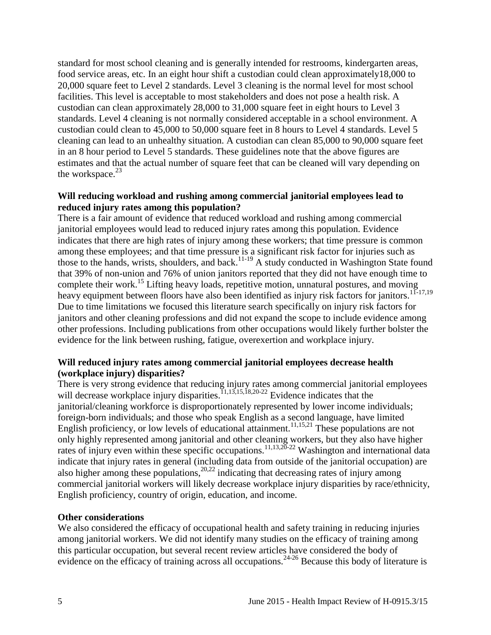standard for most school cleaning and is generally intended for restrooms, kindergarten areas, food service areas, etc. In an eight hour shift a custodian could clean approximately18,000 to 20,000 square feet to Level 2 standards. Level 3 cleaning is the normal level for most school facilities. This level is acceptable to most stakeholders and does not pose a health risk. A custodian can clean approximately 28,000 to 31,000 square feet in eight hours to Level 3 standards. Level 4 cleaning is not normally considered acceptable in a school environment. A custodian could clean to 45,000 to 50,000 square feet in 8 hours to Level 4 standards. Level 5 cleaning can lead to an unhealthy situation. A custodian can clean 85,000 to 90,000 square feet in an 8 hour period to Level 5 standards. These guidelines note that the above figures are estimates and that the actual number of square feet that can be cleaned will vary depending on the workspace. $23$ 

#### **Will reducing workload and rushing among commercial janitorial employees lead to reduced injury rates among this population?**

There is a fair amount of evidence that reduced workload and rushing among commercial janitorial employees would lead to reduced injury rates among this population. Evidence indicates that there are high rates of injury among these workers; that time pressure is common among these employees; and that time pressure is a significant risk factor for injuries such as those to the hands, wrists, shoulders, and back.<sup>[11-19](#page-12-0)</sup> A study conducted in Washington State found that 39% of non-union and 76% of union janitors reported that they did not have enough time to complete their work.<sup>[15](#page-13-0)</sup> Lifting heavy loads, repetitive motion, unnatural postures, and moving heavy equipment between floors have also been identified as injury risk factors for janitors.<sup>[11-17](#page-12-0)[,19](#page-15-1)</sup> Due to time limitations we focused this literature search specifically on injury risk factors for janitors and other cleaning professions and did not expand the scope to include evidence among other professions. Including publications from other occupations would likely further bolster the evidence for the link between rushing, fatigue, overexertion and workplace injury.

#### **Will reduced injury rates among commercial janitorial employees decrease health (workplace injury) disparities?**

There is very strong evidence that reducing injury rates among commercial janitorial employees will decrease workplace injury disparities.<sup>[11](#page-12-0)[,13](#page-12-1)[,15](#page-13-0)[,18](#page-15-0)[,20-22](#page-16-0)</sup> Evidence indicates that the janitorial/cleaning workforce is disproportionately represented by lower income individuals; foreign-born individuals; and those who speak English as a second language, have limited English proficiency, or low levels of educational attainment.[11](#page-12-0)[,15](#page-13-0)[,21](#page-16-1) These populations are not only highly represented among janitorial and other cleaning workers, but they also have higher rates of injury even within these specific occupations.<sup>[11,](#page-12-0)[13](#page-12-1)[,20-22](#page-16-0)</sup> Washington and international data indicate that injury rates in general (including data from outside of the janitorial occupation) are also higher among these populations,<sup>[20,](#page-16-0)[22](#page-17-1)</sup> indicating that decreasing rates of injury among commercial janitorial workers will likely decrease workplace injury disparities by race/ethnicity, English proficiency, country of origin, education, and income.

#### **Other considerations**

We also considered the efficacy of occupational health and safety training in reducing injuries among janitorial workers. We did not identify many studies on the efficacy of training among this particular occupation, but several recent review articles have considered the body of evidence on the efficacy of training across all occupations.<sup>[24-26](#page-18-0)</sup> Because this body of literature is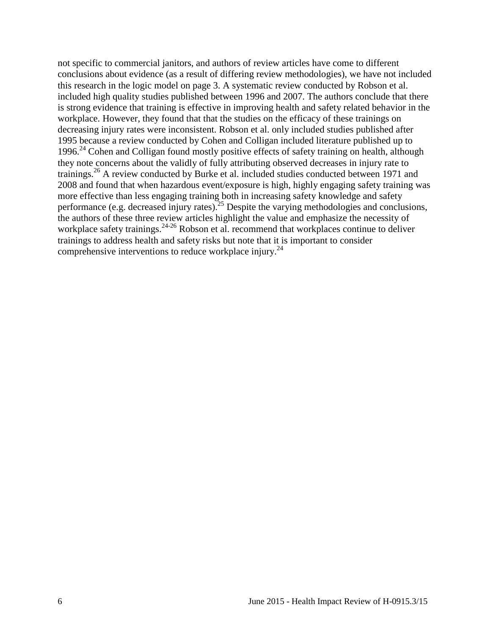not specific to commercial janitors, and authors of review articles have come to different conclusions about evidence (as a result of differing review methodologies), we have not included this research in the logic model on page 3. A systematic review conducted by Robson et al. included high quality studies published between 1996 and 2007. The authors conclude that there is strong evidence that training is effective in improving health and safety related behavior in the workplace. However, they found that that the studies on the efficacy of these trainings on decreasing injury rates were inconsistent. Robson et al. only included studies published after 1995 because a review conducted by Cohen and Colligan included literature published up to 1996.<sup>[24](#page-18-0)</sup> Cohen and Colligan found mostly positive effects of safety training on health, although they note concerns about the validly of fully attributing observed decreases in injury rate to trainings.[26](#page-18-1) A review conducted by Burke et al. included studies conducted between 1971 and 2008 and found that when hazardous event/exposure is high, highly engaging safety training was more effective than less engaging training both in increasing safety knowledge and safety performance (e.g. decreased injury rates).<sup>[25](#page-18-2)</sup> Despite the varying methodologies and conclusions, the authors of these three review articles highlight the value and emphasize the necessity of workplace safety trainings.<sup>[24-26](#page-18-0)</sup> Robson et al. recommend that workplaces continue to deliver trainings to address health and safety risks but note that it is important to consider comprehensive interventions to reduce workplace injury.<sup>[24](#page-18-0)</sup>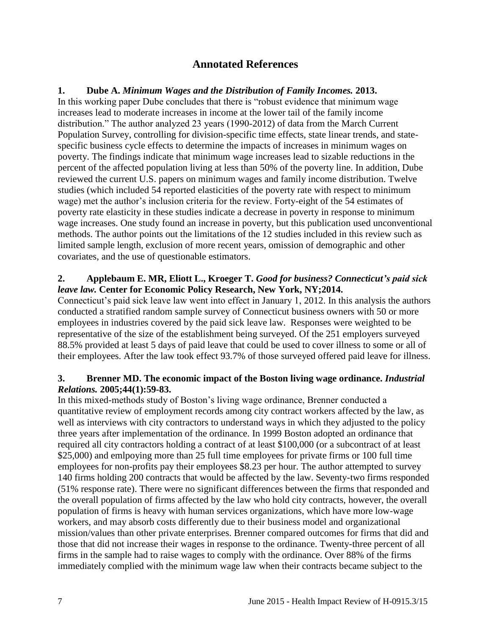## **Annotated References**

#### <span id="page-8-1"></span><span id="page-8-0"></span>**1. Dube A.** *Minimum Wages and the Distribution of Family Incomes.* **2013.**

In this working paper Dube concludes that there is "robust evidence that minimum wage increases lead to moderate increases in income at the lower tail of the family income distribution." The author analyzed 23 years (1990-2012) of data from the March Current Population Survey, controlling for division-specific time effects, state linear trends, and statespecific business cycle effects to determine the impacts of increases in minimum wages on poverty. The findings indicate that minimum wage increases lead to sizable reductions in the percent of the affected population living at less than 50% of the poverty line. In addition, Dube reviewed the current U.S. papers on minimum wages and family income distribution. Twelve studies (which included 54 reported elasticities of the poverty rate with respect to minimum wage) met the author's inclusion criteria for the review. Forty-eight of the 54 estimates of poverty rate elasticity in these studies indicate a decrease in poverty in response to minimum wage increases. One study found an increase in poverty, but this publication used unconventional methods. The author points out the limitations of the 12 studies included in this review such as limited sample length, exclusion of more recent years, omission of demographic and other covariates, and the use of questionable estimators.

#### **2. Applebaum E. MR, Eliott L., Kroeger T.** *Good for business? Connecticut's paid sick leave law.* **Center for Economic Policy Research, New York, NY;2014.**

Connecticut's paid sick leave law went into effect in January 1, 2012. In this analysis the authors conducted a stratified random sample survey of Connecticut business owners with 50 or more employees in industries covered by the paid sick leave law. Responses were weighted to be representative of the size of the establishment being surveyed. Of the 251 employers surveyed 88.5% provided at least 5 days of paid leave that could be used to cover illness to some or all of their employees. After the law took effect 93.7% of those surveyed offered paid leave for illness.

#### **3. Brenner MD. The economic impact of the Boston living wage ordinance.** *Industrial Relations.* **2005;44(1):59-83.**

In this mixed-methods study of Boston's living wage ordinance, Brenner conducted a quantitative review of employment records among city contract workers affected by the law, as well as interviews with city contractors to understand ways in which they adjusted to the policy three years after implementation of the ordinance. In 1999 Boston adopted an ordinance that required all city contractors holding a contract of at least \$100,000 (or a subcontract of at least \$25,000) and emlpoying more than 25 full time employees for private firms or 100 full time employees for non-profits pay their employees \$8.23 per hour. The author attempted to survey 140 firms holding 200 contracts that would be affected by the law. Seventy-two firms responded (51% response rate). There were no significant differences between the firms that responded and the overall population of firms affected by the law who hold city contracts, however, the overall population of firms is heavy with human services organizations, which have more low-wage workers, and may absorb costs differently due to their business model and organizational mission/values than other private enterprises. Brenner compared outcomes for firms that did and those that did not increase their wages in response to the ordinance. Twenty-three percent of all firms in the sample had to raise wages to comply with the ordinance. Over 88% of the firms immediately complied with the minimum wage law when their contracts became subject to the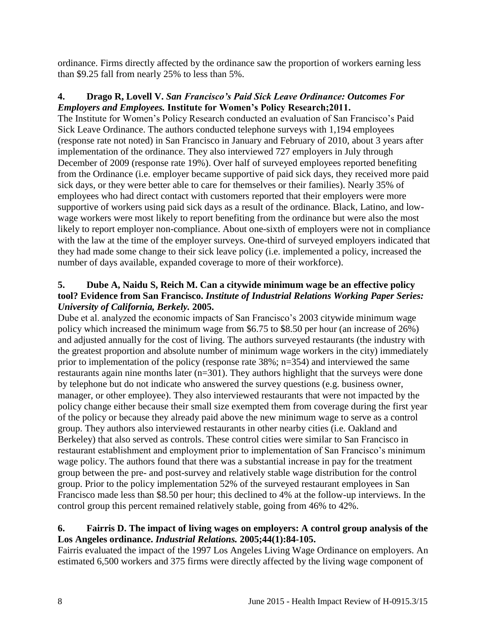ordinance. Firms directly affected by the ordinance saw the proportion of workers earning less than \$9.25 fall from nearly 25% to less than 5%.

#### **4. Drago R, Lovell V.** *San Francisco's Paid Sick Leave Ordinance: Outcomes For Employers and Employees.* **Institute for Women's Policy Research;2011.**

The Institute for Women's Policy Research conducted an evaluation of San Francisco's Paid Sick Leave Ordinance. The authors conducted telephone surveys with 1,194 employees (response rate not noted) in San Francisco in January and February of 2010, about 3 years after implementation of the ordinance. They also interviewed 727 employers in July through December of 2009 (response rate 19%). Over half of surveyed employees reported benefiting from the Ordinance (i.e. employer became supportive of paid sick days, they received more paid sick days, or they were better able to care for themselves or their families). Nearly 35% of employees who had direct contact with customers reported that their employers were more supportive of workers using paid sick days as a result of the ordinance. Black, Latino, and lowwage workers were most likely to report benefiting from the ordinance but were also the most likely to report employer non-compliance. About one-sixth of employers were not in compliance with the law at the time of the employer surveys. One-third of surveyed employers indicated that they had made some change to their sick leave policy (i.e. implemented a policy, increased the number of days available, expanded coverage to more of their workforce).

#### **5. Dube A, Naidu S, Reich M. Can a citywide minimum wage be an effective policy tool? Evidence from San Francisco.** *Institute of Industrial Relations Working Paper Series: University of California, Berkely.* **2005.**

Dube et al. analyzed the economic impacts of San Francisco's 2003 citywide minimum wage policy which increased the minimum wage from \$6.75 to \$8.50 per hour (an increase of 26%) and adjusted annually for the cost of living. The authors surveyed restaurants (the industry with the greatest proportion and absolute number of minimum wage workers in the city) immediately prior to implementation of the policy (response rate 38%; n=354) and interviewed the same restaurants again nine months later (n=301). They authors highlight that the surveys were done by telephone but do not indicate who answered the survey questions (e.g. business owner, manager, or other employee). They also interviewed restaurants that were not impacted by the policy change either because their small size exempted them from coverage during the first year of the policy or because they already paid above the new minimum wage to serve as a control group. They authors also interviewed restaurants in other nearby cities (i.e. Oakland and Berkeley) that also served as controls. These control cities were similar to San Francisco in restaurant establishment and employment prior to implementation of San Francisco's minimum wage policy. The authors found that there was a substantial increase in pay for the treatment group between the pre- and post-survey and relatively stable wage distribution for the control group. Prior to the policy implementation 52% of the surveyed restaurant employees in San Francisco made less than \$8.50 per hour; this declined to 4% at the follow-up interviews. In the control group this percent remained relatively stable, going from 46% to 42%.

#### **6. Fairris D. The impact of living wages on employers: A control group analysis of the Los Angeles ordinance.** *Industrial Relations.* **2005;44(1):84-105.**

Fairris evaluated the impact of the 1997 Los Angeles Living Wage Ordinance on employers. An estimated 6,500 workers and 375 firms were directly affected by the living wage component of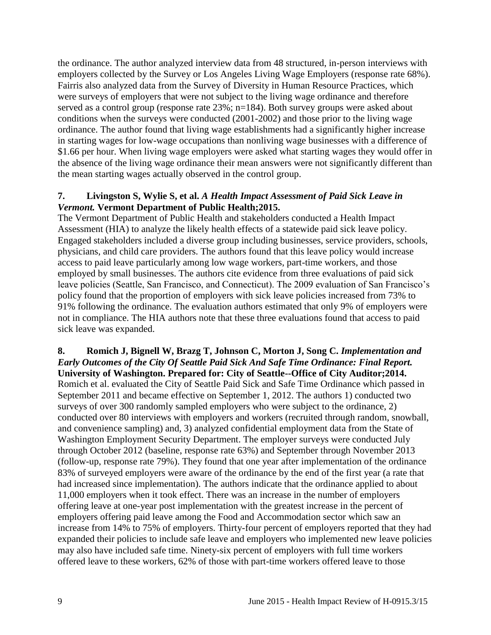the ordinance. The author analyzed interview data from 48 structured, in-person interviews with employers collected by the Survey or Los Angeles Living Wage Employers (response rate 68%). Fairris also analyzed data from the Survey of Diversity in Human Resource Practices, which were surveys of employers that were not subject to the living wage ordinance and therefore served as a control group (response rate 23%; n=184). Both survey groups were asked about conditions when the surveys were conducted (2001-2002) and those prior to the living wage ordinance. The author found that living wage establishments had a significantly higher increase in starting wages for low-wage occupations than nonliving wage businesses with a difference of \$1.66 per hour. When living wage employers were asked what starting wages they would offer in the absence of the living wage ordinance their mean answers were not significantly different than the mean starting wages actually observed in the control group.

#### **7. Livingston S, Wylie S, et al.** *A Health Impact Assessment of Paid Sick Leave in Vermont.* **Vermont Department of Public Health;2015.**

The Vermont Department of Public Health and stakeholders conducted a Health Impact Assessment (HIA) to analyze the likely health effects of a statewide paid sick leave policy. Engaged stakeholders included a diverse group including businesses, service providers, schools, physicians, and child care providers. The authors found that this leave policy would increase access to paid leave particularly among low wage workers, part-time workers, and those employed by small businesses. The authors cite evidence from three evaluations of paid sick leave policies (Seattle, San Francisco, and Connecticut). The 2009 evaluation of San Francisco's policy found that the proportion of employers with sick leave policies increased from 73% to 91% following the ordinance. The evaluation authors estimated that only 9% of employers were not in compliance. The HIA authors note that these three evaluations found that access to paid sick leave was expanded.

#### **8. Romich J, Bignell W, Brazg T, Johnson C, Morton J, Song C.** *Implementation and Early Outcomes of the City Of Seattle Paid Sick And Safe Time Ordinance: Final Report.*

**University of Washington. Prepared for: City of Seattle--Office of City Auditor;2014.** Romich et al. evaluated the City of Seattle Paid Sick and Safe Time Ordinance which passed in September 2011 and became effective on September 1, 2012. The authors 1) conducted two surveys of over 300 randomly sampled employers who were subject to the ordinance, 2) conducted over 80 interviews with employers and workers (recruited through random, snowball, and convenience sampling) and, 3) analyzed confidential employment data from the State of Washington Employment Security Department. The employer surveys were conducted July through October 2012 (baseline, response rate 63%) and September through November 2013 (follow-up, response rate 79%). They found that one year after implementation of the ordinance 83% of surveyed employers were aware of the ordinance by the end of the first year (a rate that had increased since implementation). The authors indicate that the ordinance applied to about 11,000 employers when it took effect. There was an increase in the number of employers offering leave at one-year post implementation with the greatest increase in the percent of employers offering paid leave among the Food and Accommodation sector which saw an increase from 14% to 75% of employers. Thirty-four percent of employers reported that they had expanded their policies to include safe leave and employers who implemented new leave policies may also have included safe time. Ninety-six percent of employers with full time workers offered leave to these workers, 62% of those with part-time workers offered leave to those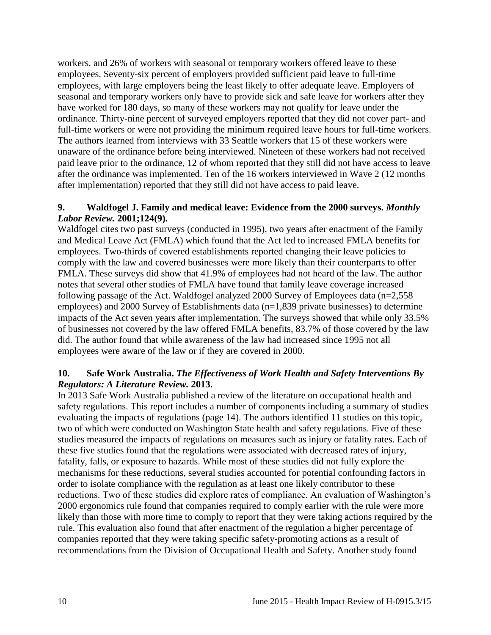workers, and 26% of workers with seasonal or temporary workers offered leave to these employees. Seventy-six percent of employers provided sufficient paid leave to full-time employees, with large employers being the least likely to offer adequate leave. Employers of seasonal and temporary workers only have to provide sick and safe leave for workers after they have worked for 180 days, so many of these workers may not qualify for leave under the ordinance. Thirty-nine percent of surveyed employers reported that they did not cover part- and full-time workers or were not providing the minimum required leave hours for full-time workers. The authors learned from interviews with 33 Seattle workers that 15 of these workers were unaware of the ordinance before being interviewed. Nineteen of these workers had not received paid leave prior to the ordinance, 12 of whom reported that they still did not have access to leave after the ordinance was implemented. Ten of the 16 workers interviewed in Wave 2 (12 months after implementation) reported that they still did not have access to paid leave.

#### **9. Waldfogel J. Family and medical leave: Evidence from the 2000 surveys.** *Monthly Labor Review.* **2001;124(9).**

Waldfogel cites two past surveys (conducted in 1995), two years after enactment of the Family and Medical Leave Act (FMLA) which found that the Act led to increased FMLA benefits for employees. Two-thirds of covered establishments reported changing their leave policies to comply with the law and covered businesses were more likely than their counterparts to offer FMLA. These surveys did show that 41.9% of employees had not heard of the law. The author notes that several other studies of FMLA have found that family leave coverage increased following passage of the Act. Waldfogel analyzed 2000 Survey of Employees data (n=2,558 employees) and 2000 Survey of Establishments data (n=1,839 private businesses) to determine impacts of the Act seven years after implementation. The surveys showed that while only 33.5% of businesses not covered by the law offered FMLA benefits, 83.7% of those covered by the law did. The author found that while awareness of the law had increased since 1995 not all employees were aware of the law or if they are covered in 2000.

#### <span id="page-11-0"></span>**10. Safe Work Australia.** *The Effectiveness of Work Health and Safety Interventions By Regulators: A Literature Review.* **2013.**

In 2013 Safe Work Australia published a review of the literature on occupational health and safety regulations. This report includes a number of components including a summary of studies evaluating the impacts of regulations (page 14). The authors identified 11 studies on this topic, two of which were conducted on Washington State health and safety regulations. Five of these studies measured the impacts of regulations on measures such as injury or fatality rates. Each of these five studies found that the regulations were associated with decreased rates of injury, fatality, falls, or exposure to hazards. While most of these studies did not fully explore the mechanisms for these reductions, several studies accounted for potential confounding factors in order to isolate compliance with the regulation as at least one likely contributor to these reductions. Two of these studies did explore rates of compliance. An evaluation of Washington's 2000 ergonomics rule found that companies required to comply earlier with the rule were more likely than those with more time to comply to report that they were taking actions required by the rule. This evaluation also found that after enactment of the regulation a higher percentage of companies reported that they were taking specific safety-promoting actions as a result of recommendations from the Division of Occupational Health and Safety. Another study found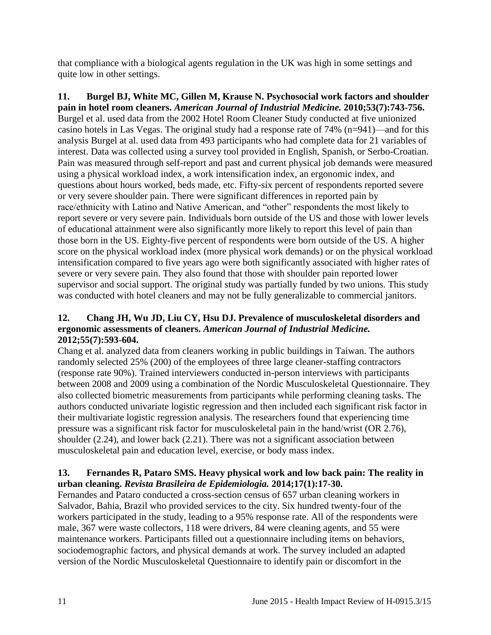that compliance with a biological agents regulation in the UK was high in some settings and quite low in other settings.

<span id="page-12-0"></span>**11. Burgel BJ, White MC, Gillen M, Krause N. Psychosocial work factors and shoulder pain in hotel room cleaners.** *American Journal of Industrial Medicine.* **2010;53(7):743-756.** Burgel et al. used data from the 2002 Hotel Room Cleaner Study conducted at five unionized casino hotels in Las Vegas. The original study had a response rate of 74% (n=941)—and for this analysis Burgel at al. used data from 493 participants who had complete data for 21 variables of interest. Data was collected using a survey tool provided in English, Spanish, or Serbo-Croatian. Pain was measured through self-report and past and current physical job demands were measured using a physical workload index, a work intensification index, an ergonomic index, and questions about hours worked, beds made, etc. Fifty-six percent of respondents reported severe or very severe shoulder pain. There were significant differences in reported pain by race/ethnicity with Latino and Native American, and "other" respondents the most likely to report severe or very severe pain. Individuals born outside of the US and those with lower levels of educational attainment were also significantly more likely to report this level of pain than those born in the US. Eighty-five percent of respondents were born outside of the US. A higher score on the physical workload index (more physical work demands) or on the physical workload intensification compared to five years ago were both significantly associated with higher rates of severe or very severe pain. They also found that those with shoulder pain reported lower supervisor and social support. The original study was partially funded by two unions. This study was conducted with hotel cleaners and may not be fully generalizable to commercial janitors.

#### **12. Chang JH, Wu JD, Liu CY, Hsu DJ. Prevalence of musculoskeletal disorders and ergonomic assessments of cleaners.** *American Journal of Industrial Medicine.*  **2012;55(7):593-604.**

Chang et al. analyzed data from cleaners working in public buildings in Taiwan. The authors randomly selected 25% (200) of the employees of three large cleaner-staffing contractors (response rate 90%). Trained interviewers conducted in-person interviews with participants between 2008 and 2009 using a combination of the Nordic Musculoskeletal Questionnaire. They also collected biometric measurements from participants while performing cleaning tasks. The authors conducted univariate logistic regression and then included each significant risk factor in their multivariate logistic regression analysis. The researchers found that experiencing time pressure was a significant risk factor for musculoskeletal pain in the hand/wrist (OR 2.76), shoulder (2.24), and lower back (2.21). There was not a significant association between musculoskeletal pain and education level, exercise, or body mass index.

#### <span id="page-12-1"></span>**13. Fernandes R, Pataro SMS. Heavy physical work and low back pain: The reality in urban cleaning.** *Revista Brasileira de Epidemiologia.* **2014;17(1):17-30.**

Fernandes and Pataro conducted a cross-section census of 657 urban cleaning workers in Salvador, Bahia, Brazil who provided services to the city. Six hundred twenty-four of the workers participated in the study, leading to a 95% response rate. All of the respondents were male, 367 were waste collectors, 118 were drivers, 84 were cleaning agents, and 55 were maintenance workers. Participants filled out a questionnaire including items on behaviors, sociodemographic factors, and physical demands at work. The survey included an adapted version of the Nordic Musculoskeletal Questionnaire to identify pain or discomfort in the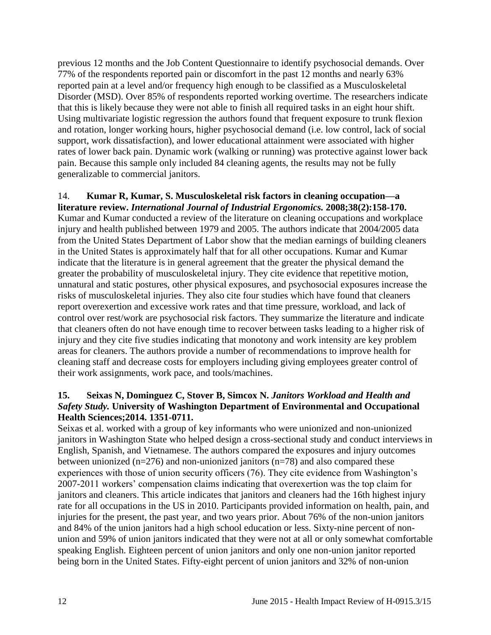previous 12 months and the Job Content Questionnaire to identify psychosocial demands. Over 77% of the respondents reported pain or discomfort in the past 12 months and nearly 63% reported pain at a level and/or frequency high enough to be classified as a Musculoskeletal Disorder (MSD). Over 85% of respondents reported working overtime. The researchers indicate that this is likely because they were not able to finish all required tasks in an eight hour shift. Using multivariate logistic regression the authors found that frequent exposure to trunk flexion and rotation, longer working hours, higher psychosocial demand (i.e. low control, lack of social support, work dissatisfaction), and lower educational attainment were associated with higher rates of lower back pain. Dynamic work (walking or running) was protective against lower back pain. Because this sample only included 84 cleaning agents, the results may not be fully generalizable to commercial janitors.

## 14. **Kumar R, Kumar, S. Musculoskeletal risk factors in cleaning occupation—a**

**literature review.** *International Journal of Industrial Ergonomics.* **2008;38(2):158-170.** Kumar and Kumar conducted a review of the literature on cleaning occupations and workplace injury and health published between 1979 and 2005. The authors indicate that 2004/2005 data from the United States Department of Labor show that the median earnings of building cleaners in the United States is approximately half that for all other occupations. Kumar and Kumar indicate that the literature is in general agreement that the greater the physical demand the greater the probability of musculoskeletal injury. They cite evidence that repetitive motion, unnatural and static postures, other physical exposures, and psychosocial exposures increase the risks of musculoskeletal injuries. They also cite four studies which have found that cleaners report overexertion and excessive work rates and that time pressure, workload, and lack of control over rest/work are psychosocial risk factors. They summarize the literature and indicate that cleaners often do not have enough time to recover between tasks leading to a higher risk of injury and they cite five studies indicating that monotony and work intensity are key problem areas for cleaners. The authors provide a number of recommendations to improve health for cleaning staff and decrease costs for employers including giving employees greater control of their work assignments, work pace, and tools/machines.

#### <span id="page-13-0"></span>**15. Seixas N, Dominguez C, Stover B, Simcox N.** *Janitors Workload and Health and Safety Study.* **University of Washington Department of Environmental and Occupational Health Sciences;2014. 1351-0711.**

Seixas et al. worked with a group of key informants who were unionized and non-unionized janitors in Washington State who helped design a cross-sectional study and conduct interviews in English, Spanish, and Vietnamese. The authors compared the exposures and injury outcomes between unionized (n=276) and non-unionized janitors (n=78) and also compared these experiences with those of union security officers (76). They cite evidence from Washington's 2007-2011 workers' compensation claims indicating that overexertion was the top claim for janitors and cleaners. This article indicates that janitors and cleaners had the 16th highest injury rate for all occupations in the US in 2010. Participants provided information on health, pain, and injuries for the present, the past year, and two years prior. About 76% of the non-union janitors and 84% of the union janitors had a high school education or less. Sixty-nine percent of nonunion and 59% of union janitors indicated that they were not at all or only somewhat comfortable speaking English. Eighteen percent of union janitors and only one non-union janitor reported being born in the United States. Fifty-eight percent of union janitors and 32% of non-union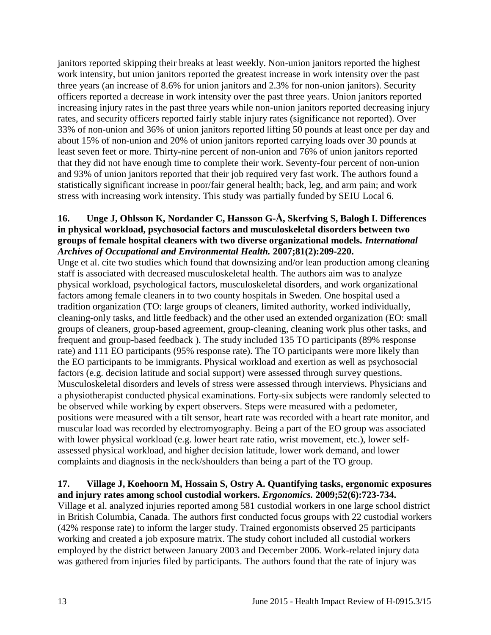janitors reported skipping their breaks at least weekly. Non-union janitors reported the highest work intensity, but union janitors reported the greatest increase in work intensity over the past three years (an increase of 8.6% for union janitors and 2.3% for non-union janitors). Security officers reported a decrease in work intensity over the past three years. Union janitors reported increasing injury rates in the past three years while non-union janitors reported decreasing injury rates, and security officers reported fairly stable injury rates (significance not reported). Over 33% of non-union and 36% of union janitors reported lifting 50 pounds at least once per day and about 15% of non-union and 20% of union janitors reported carrying loads over 30 pounds at least seven feet or more. Thirty-nine percent of non-union and 76% of union janitors reported that they did not have enough time to complete their work. Seventy-four percent of non-union and 93% of union janitors reported that their job required very fast work. The authors found a statistically significant increase in poor/fair general health; back, leg, and arm pain; and work stress with increasing work intensity. This study was partially funded by SEIU Local 6.

#### **16. Unge J, Ohlsson K, Nordander C, Hansson G-Å, Skerfving S, Balogh I. Differences in physical workload, psychosocial factors and musculoskeletal disorders between two groups of female hospital cleaners with two diverse organizational models.** *International Archives of Occupational and Environmental Health.* **2007;81(2):209-220.**

Unge et al. cite two studies which found that downsizing and/or lean production among cleaning staff is associated with decreased musculoskeletal health. The authors aim was to analyze physical workload, psychological factors, musculoskeletal disorders, and work organizational factors among female cleaners in to two county hospitals in Sweden. One hospital used a tradition organization (TO: large groups of cleaners, limited authority, worked individually, cleaning-only tasks, and little feedback) and the other used an extended organization (EO: small groups of cleaners, group-based agreement, group-cleaning, cleaning work plus other tasks, and frequent and group-based feedback ). The study included 135 TO participants (89% response rate) and 111 EO participants (95% response rate). The TO participants were more likely than the EO participants to be immigrants. Physical workload and exertion as well as psychosocial factors (e.g. decision latitude and social support) were assessed through survey questions. Musculoskeletal disorders and levels of stress were assessed through interviews. Physicians and a physiotherapist conducted physical examinations. Forty-six subjects were randomly selected to be observed while working by expert observers. Steps were measured with a pedometer, positions were measured with a tilt sensor, heart rate was recorded with a heart rate monitor, and muscular load was recorded by electromyography. Being a part of the EO group was associated with lower physical workload (e.g. lower heart rate ratio, wrist movement, etc.), lower selfassessed physical workload, and higher decision latitude, lower work demand, and lower complaints and diagnosis in the neck/shoulders than being a part of the TO group.

#### **17. Village J, Koehoorn M, Hossain S, Ostry A. Quantifying tasks, ergonomic exposures and injury rates among school custodial workers.** *Ergonomics.* **2009;52(6):723-734.**

Village et al. analyzed injuries reported among 581 custodial workers in one large school district in British Columbia, Canada. The authors first conducted focus groups with 22 custodial workers (42% response rate) to inform the larger study. Trained ergonomists observed 25 participants working and created a job exposure matrix. The study cohort included all custodial workers employed by the district between January 2003 and December 2006. Work-related injury data was gathered from injuries filed by participants. The authors found that the rate of injury was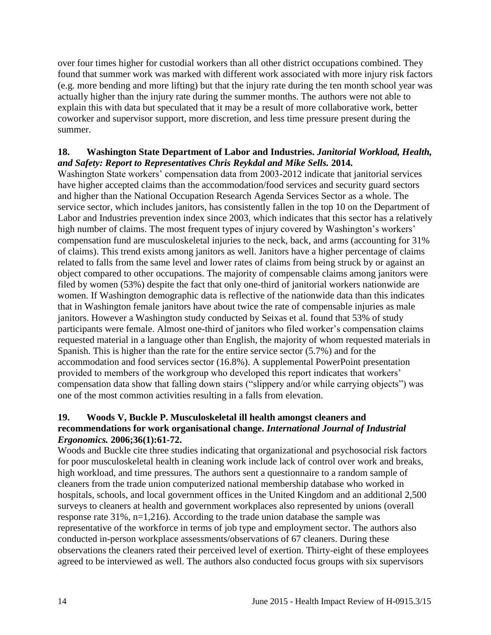over four times higher for custodial workers than all other district occupations combined. They found that summer work was marked with different work associated with more injury risk factors (e.g. more bending and more lifting) but that the injury rate during the ten month school year was actually higher than the injury rate during the summer months. The authors were not able to explain this with data but speculated that it may be a result of more collaborative work, better coworker and supervisor support, more discretion, and less time pressure present during the summer.

#### <span id="page-15-0"></span>**18. Washington State Department of Labor and Industries.** *Janitorial Workload, Health, and Safety: Report to Representatives Chris Reykdal and Mike Sells.* **2014.**

Washington State workers' compensation data from 2003-2012 indicate that janitorial services have higher accepted claims than the accommodation/food services and security guard sectors and higher than the National Occupation Research Agenda Services Sector as a whole. The service sector, which includes janitors, has consistently fallen in the top 10 on the Department of Labor and Industries prevention index since 2003, which indicates that this sector has a relatively high number of claims. The most frequent types of injury covered by Washington's workers' compensation fund are musculoskeletal injuries to the neck, back, and arms (accounting for 31% of claims). This trend exists among janitors as well. Janitors have a higher percentage of claims related to falls from the same level and lower rates of claims from being struck by or against an object compared to other occupations. The majority of compensable claims among janitors were filed by women (53%) despite the fact that only one-third of janitorial workers nationwide are women. If Washington demographic data is reflective of the nationwide data than this indicates that in Washington female janitors have about twice the rate of compensable injuries as male janitors. However a Washington study conducted by Seixas et al. found that 53% of study participants were female. Almost one-third of janitors who filed worker's compensation claims requested material in a language other than English, the majority of whom requested materials in Spanish. This is higher than the rate for the entire service sector (5.7%) and for the accommodation and food services sector (16.8%). A supplemental PowerPoint presentation provided to members of the workgroup who developed this report indicates that workers' compensation data show that falling down stairs ("slippery and/or while carrying objects") was one of the most common activities resulting in a falls from elevation.

#### <span id="page-15-1"></span>**19. Woods V, Buckle P. Musculoskeletal ill health amongst cleaners and recommendations for work organisational change.** *International Journal of Industrial Ergonomics.* **2006;36(1):61-72.**

Woods and Buckle cite three studies indicating that organizational and psychosocial risk factors for poor musculoskeletal health in cleaning work include lack of control over work and breaks, high workload, and time pressures. The authors sent a questionnaire to a random sample of cleaners from the trade union computerized national membership database who worked in hospitals, schools, and local government offices in the United Kingdom and an additional 2,500 surveys to cleaners at health and government workplaces also represented by unions (overall response rate 31%, n=1,216). According to the trade union database the sample was representative of the workforce in terms of job type and employment sector. The authors also conducted in-person workplace assessments/observations of 67 cleaners. During these observations the cleaners rated their perceived level of exertion. Thirty-eight of these employees agreed to be interviewed as well. The authors also conducted focus groups with six supervisors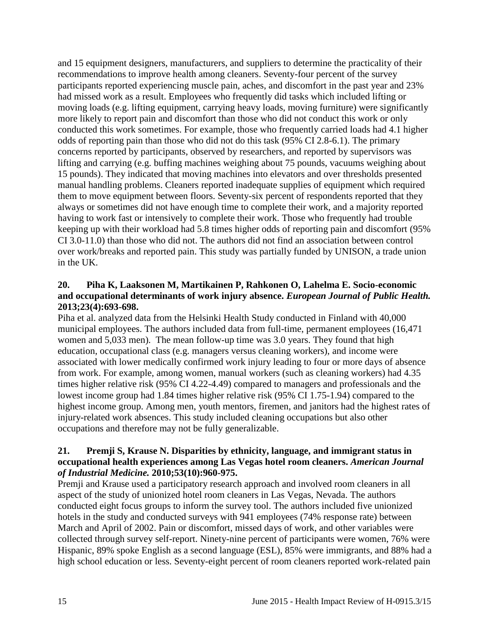and 15 equipment designers, manufacturers, and suppliers to determine the practicality of their recommendations to improve health among cleaners. Seventy-four percent of the survey participants reported experiencing muscle pain, aches, and discomfort in the past year and 23% had missed work as a result. Employees who frequently did tasks which included lifting or moving loads (e.g. lifting equipment, carrying heavy loads, moving furniture) were significantly more likely to report pain and discomfort than those who did not conduct this work or only conducted this work sometimes. For example, those who frequently carried loads had 4.1 higher odds of reporting pain than those who did not do this task (95% CI 2.8-6.1). The primary concerns reported by participants, observed by researchers, and reported by supervisors was lifting and carrying (e.g. buffing machines weighing about 75 pounds, vacuums weighing about 15 pounds). They indicated that moving machines into elevators and over thresholds presented manual handling problems. Cleaners reported inadequate supplies of equipment which required them to move equipment between floors. Seventy-six percent of respondents reported that they always or sometimes did not have enough time to complete their work, and a majority reported having to work fast or intensively to complete their work. Those who frequently had trouble keeping up with their workload had 5.8 times higher odds of reporting pain and discomfort (95% CI 3.0-11.0) than those who did not. The authors did not find an association between control over work/breaks and reported pain. This study was partially funded by UNISON, a trade union in the UK.

#### <span id="page-16-0"></span>**20. Piha K, Laaksonen M, Martikainen P, Rahkonen O, Lahelma E. Socio-economic and occupational determinants of work injury absence.** *European Journal of Public Health.*  **2013;23(4):693-698.**

Piha et al. analyzed data from the Helsinki Health Study conducted in Finland with 40,000 municipal employees. The authors included data from full-time, permanent employees (16,471 women and 5,033 men). The mean follow-up time was 3.0 years. They found that high education, occupational class (e.g. managers versus cleaning workers), and income were associated with lower medically confirmed work injury leading to four or more days of absence from work. For example, among women, manual workers (such as cleaning workers) had 4.35 times higher relative risk (95% CI 4.22-4.49) compared to managers and professionals and the lowest income group had 1.84 times higher relative risk (95% CI 1.75-1.94) compared to the highest income group. Among men, youth mentors, firemen, and janitors had the highest rates of injury-related work absences. This study included cleaning occupations but also other occupations and therefore may not be fully generalizable.

#### <span id="page-16-1"></span>**21. Premji S, Krause N. Disparities by ethnicity, language, and immigrant status in occupational health experiences among Las Vegas hotel room cleaners.** *American Journal of Industrial Medicine.* **2010;53(10):960-975.**

Premji and Krause used a participatory research approach and involved room cleaners in all aspect of the study of unionized hotel room cleaners in Las Vegas, Nevada. The authors conducted eight focus groups to inform the survey tool. The authors included five unionized hotels in the study and conducted surveys with 941 employees (74% response rate) between March and April of 2002. Pain or discomfort, missed days of work, and other variables were collected through survey self-report. Ninety-nine percent of participants were women, 76% were Hispanic, 89% spoke English as a second language (ESL), 85% were immigrants, and 88% had a high school education or less. Seventy-eight percent of room cleaners reported work-related pain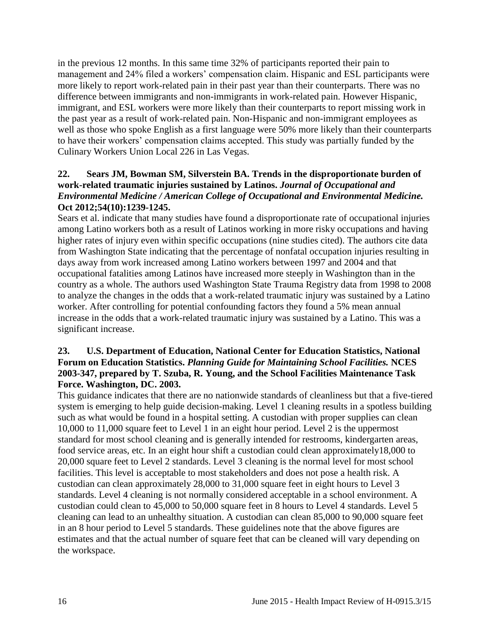in the previous 12 months. In this same time 32% of participants reported their pain to management and 24% filed a workers' compensation claim. Hispanic and ESL participants were more likely to report work-related pain in their past year than their counterparts. There was no difference between immigrants and non-immigrants in work-related pain. However Hispanic, immigrant, and ESL workers were more likely than their counterparts to report missing work in the past year as a result of work-related pain. Non-Hispanic and non-immigrant employees as well as those who spoke English as a first language were 50% more likely than their counterparts to have their workers' compensation claims accepted. This study was partially funded by the Culinary Workers Union Local 226 in Las Vegas.

#### <span id="page-17-1"></span>**22. Sears JM, Bowman SM, Silverstein BA. Trends in the disproportionate burden of work-related traumatic injuries sustained by Latinos.** *Journal of Occupational and Environmental Medicine / American College of Occupational and Environmental Medicine.*  **Oct 2012;54(10):1239-1245.**

Sears et al. indicate that many studies have found a disproportionate rate of occupational injuries among Latino workers both as a result of Latinos working in more risky occupations and having higher rates of injury even within specific occupations (nine studies cited). The authors cite data from Washington State indicating that the percentage of nonfatal occupation injuries resulting in days away from work increased among Latino workers between 1997 and 2004 and that occupational fatalities among Latinos have increased more steeply in Washington than in the country as a whole. The authors used Washington State Trauma Registry data from 1998 to 2008 to analyze the changes in the odds that a work-related traumatic injury was sustained by a Latino worker. After controlling for potential confounding factors they found a 5% mean annual increase in the odds that a work-related traumatic injury was sustained by a Latino. This was a significant increase.

#### <span id="page-17-0"></span>**23. U.S. Department of Education, National Center for Education Statistics, National Forum on Education Statistics.** *Planning Guide for Maintaining School Facilities.* **NCES 2003-347, prepared by T. Szuba, R. Young, and the School Facilities Maintenance Task Force. Washington, DC. 2003.**

This guidance indicates that there are no nationwide standards of cleanliness but that a five-tiered system is emerging to help guide decision-making. Level 1 cleaning results in a spotless building such as what would be found in a hospital setting. A custodian with proper supplies can clean 10,000 to 11,000 square feet to Level 1 in an eight hour period. Level 2 is the uppermost standard for most school cleaning and is generally intended for restrooms, kindergarten areas, food service areas, etc. In an eight hour shift a custodian could clean approximately18,000 to 20,000 square feet to Level 2 standards. Level 3 cleaning is the normal level for most school facilities. This level is acceptable to most stakeholders and does not pose a health risk. A custodian can clean approximately 28,000 to 31,000 square feet in eight hours to Level 3 standards. Level 4 cleaning is not normally considered acceptable in a school environment. A custodian could clean to 45,000 to 50,000 square feet in 8 hours to Level 4 standards. Level 5 cleaning can lead to an unhealthy situation. A custodian can clean 85,000 to 90,000 square feet in an 8 hour period to Level 5 standards. These guidelines note that the above figures are estimates and that the actual number of square feet that can be cleaned will vary depending on the workspace.